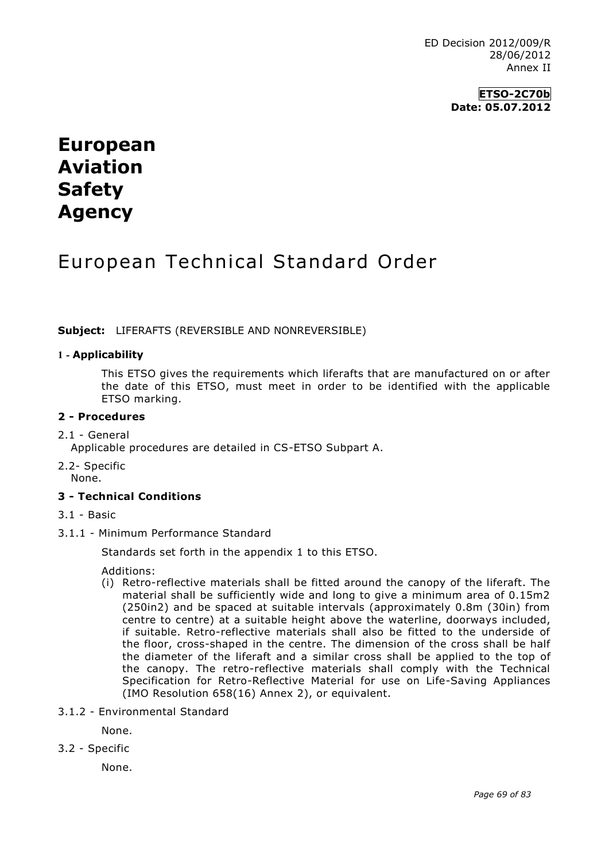**ETSO-2C70b Date: 05.07.2012**

# **European Aviation Safety Agency**

## European Technical Standard Order

**Subject:** LIFERAFTS (REVERSIBLE AND NONREVERSIBLE)

## **1 - Applicability**

This ETSO gives the requirements which liferafts that are manufactured on or after the date of this ETSO, must meet in order to be identified with the applicable ETSO marking.

#### **2 - Procedures**

#### 2.1 - General

Applicable procedures are detailed in CS-ETSO Subpart A.

2.2- Specific None.

#### **3 - Technical Conditions**

- 3.1 Basic
- 3.1.1 Minimum Performance Standard

Standards set forth in the appendix 1 to this ETSO.

Additions:

- (i) Retro-reflective materials shall be fitted around the canopy of the liferaft. The material shall be sufficiently wide and long to give a minimum area of 0.15m2 (250in2) and be spaced at suitable intervals (approximately 0.8m (30in) from centre to centre) at a suitable height above the waterline, doorways included, if suitable. Retro-reflective materials shall also be fitted to the underside of the floor, cross-shaped in the centre. The dimension of the cross shall be half the diameter of the liferaft and a similar cross shall be applied to the top of the canopy. The retro-reflective materials shall comply with the Technical Specification for Retro-Reflective Material for use on Life-Saving Appliances (IMO Resolution 658(16) Annex 2), or equivalent.
- 3.1.2 Environmental Standard

None.

3.2 - Specific

None.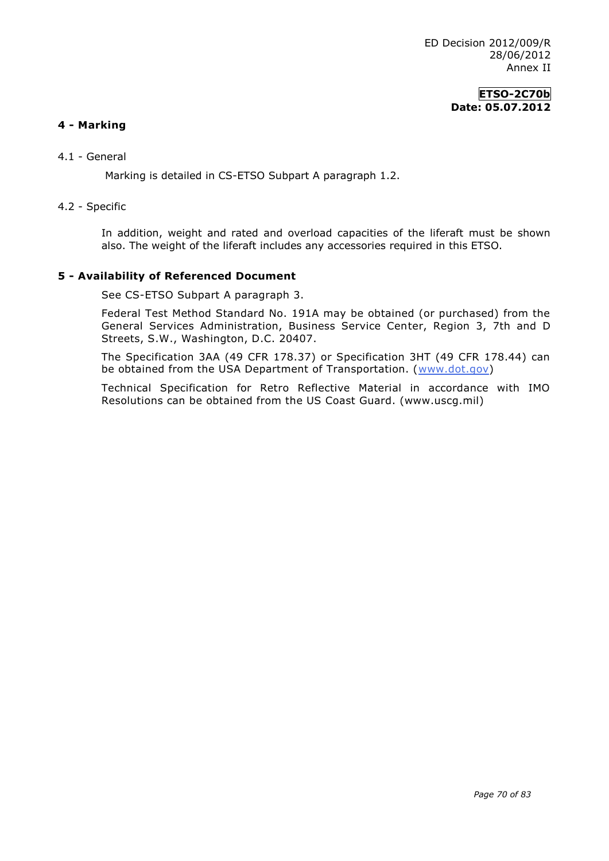## **ETSO-2C70b Date: 05.07.2012**

## **4 - Marking**

4.1 - General

Marking is detailed in CS-ETSO Subpart A paragraph 1.2.

#### 4.2 - Specific

In addition, weight and rated and overload capacities of the liferaft must be shown also. The weight of the liferaft includes any accessories required in this ETSO.

#### **5 - Availability of Referenced Document**

See CS-ETSO Subpart A paragraph 3.

Federal Test Method Standard No. 191A may be obtained (or purchased) from the General Services Administration, Business Service Center, Region 3, 7th and D Streets, S.W., Washington, D.C. 20407.

The Specification 3AA (49 CFR 178.37) or Specification 3HT (49 CFR 178.44) can be obtained from the USA Department of Transportation. [\(www.dot.gov\)](http://www.dot.gov/)

Technical Specification for Retro Reflective Material in accordance with IMO Resolutions can be obtained from the US Coast Guard. (www.uscg.mil)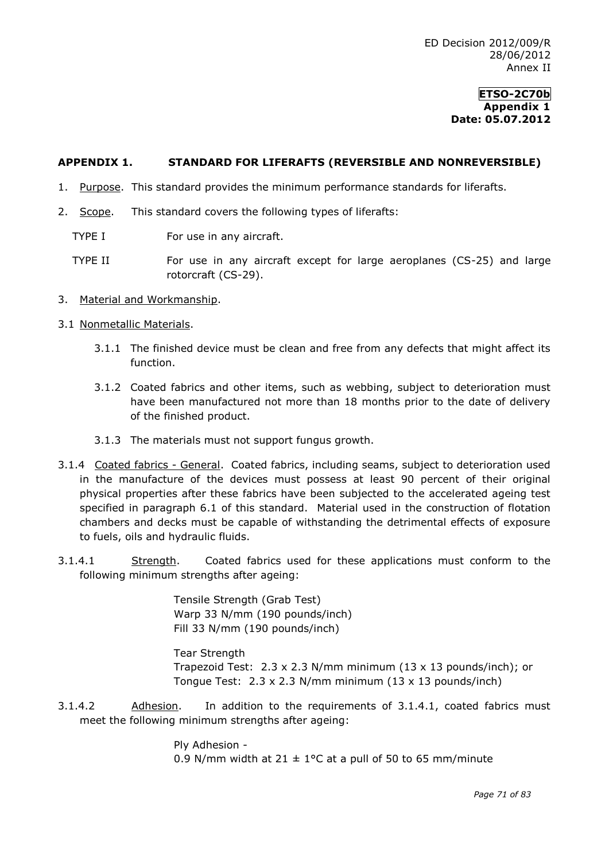#### **APPENDIX 1. STANDARD FOR LIFERAFTS (REVERSIBLE AND NONREVERSIBLE)**

- 1. Purpose. This standard provides the minimum performance standards for liferafts.
- 2. Scope. This standard covers the following types of liferafts:
	- TYPE I For use in any aircraft.
	- TYPE II For use in any aircraft except for large aeroplanes (CS-25) and large rotorcraft (CS-29).
- 3. Material and Workmanship.

#### 3.1 Nonmetallic Materials.

- 3.1.1 The finished device must be clean and free from any defects that might affect its function.
- 3.1.2 Coated fabrics and other items, such as webbing, subject to deterioration must have been manufactured not more than 18 months prior to the date of delivery of the finished product.
- 3.1.3 The materials must not support fungus growth.
- 3.1.4 Coated fabrics General. Coated fabrics, including seams, subject to deterioration used in the manufacture of the devices must possess at least 90 percent of their original physical properties after these fabrics have been subjected to the accelerated ageing test specified in paragraph 6.1 of this standard. Material used in the construction of flotation chambers and decks must be capable of withstanding the detrimental effects of exposure to fuels, oils and hydraulic fluids.
- 3.1.4.1 Strength. Coated fabrics used for these applications must conform to the following minimum strengths after ageing:

Tensile Strength (Grab Test) Warp 33 N/mm (190 pounds/inch) Fill 33 N/mm (190 pounds/inch)

Tear Strength

Trapezoid Test: 2.3 x 2.3 N/mm minimum (13 x 13 pounds/inch); or Tongue Test: 2.3 x 2.3 N/mm minimum (13 x 13 pounds/inch)

3.1.4.2 Adhesion. In addition to the requirements of 3.1.4.1, coated fabrics must meet the following minimum strengths after ageing:

> Ply Adhesion - 0.9 N/mm width at  $21 \pm 1$ °C at a pull of 50 to 65 mm/minute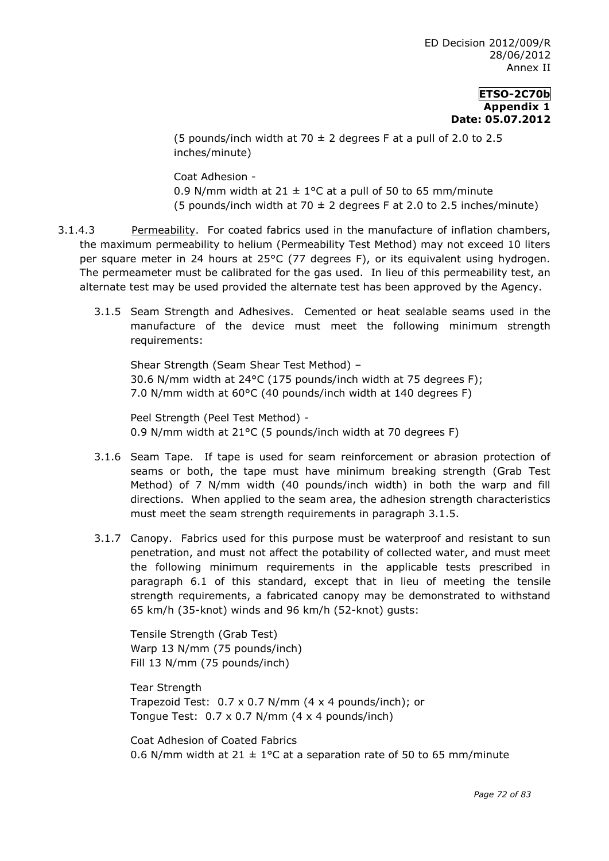(5 pounds/inch width at 70  $\pm$  2 degrees F at a pull of 2.0 to 2.5 inches/minute)

Coat Adhesion - 0.9 N/mm width at 21  $\pm$  1°C at a pull of 50 to 65 mm/minute (5 pounds/inch width at 70  $\pm$  2 degrees F at 2.0 to 2.5 inches/minute)

- 3.1.4.3 Permeability. For coated fabrics used in the manufacture of inflation chambers, the maximum permeability to helium (Permeability Test Method) may not exceed 10 liters per square meter in 24 hours at 25°C (77 degrees F), or its equivalent using hydrogen. The permeameter must be calibrated for the gas used. In lieu of this permeability test, an alternate test may be used provided the alternate test has been approved by the Agency.
	- 3.1.5 Seam Strength and Adhesives. Cemented or heat sealable seams used in the manufacture of the device must meet the following minimum strength requirements:

Shear Strength (Seam Shear Test Method) – 30.6 N/mm width at 24°C (175 pounds/inch width at 75 degrees F); 7.0 N/mm width at 60°C (40 pounds/inch width at 140 degrees F)

Peel Strength (Peel Test Method) - 0.9 N/mm width at 21°C (5 pounds/inch width at 70 degrees F)

- 3.1.6 Seam Tape. If tape is used for seam reinforcement or abrasion protection of seams or both, the tape must have minimum breaking strength (Grab Test Method) of 7 N/mm width (40 pounds/inch width) in both the warp and fill directions. When applied to the seam area, the adhesion strength characteristics must meet the seam strength requirements in paragraph 3.1.5.
- 3.1.7 Canopy. Fabrics used for this purpose must be waterproof and resistant to sun penetration, and must not affect the potability of collected water, and must meet the following minimum requirements in the applicable tests prescribed in paragraph 6.1 of this standard, except that in lieu of meeting the tensile strength requirements, a fabricated canopy may be demonstrated to withstand 65 km/h (35-knot) winds and 96 km/h (52-knot) gusts:

Tensile Strength (Grab Test) Warp 13 N/mm (75 pounds/inch) Fill 13 N/mm (75 pounds/inch)

Tear Strength Trapezoid Test: 0.7 x 0.7 N/mm (4 x 4 pounds/inch); or Tongue Test: 0.7 x 0.7 N/mm (4 x 4 pounds/inch)

Coat Adhesion of Coated Fabrics 0.6 N/mm width at 21  $\pm$  1°C at a separation rate of 50 to 65 mm/minute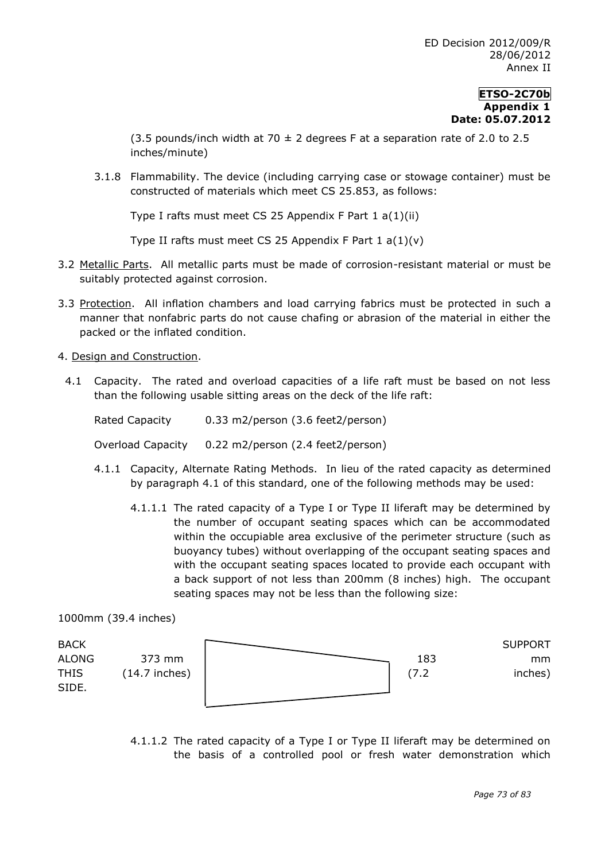(3.5 pounds/inch width at 70  $\pm$  2 degrees F at a separation rate of 2.0 to 2.5 inches/minute)

3.1.8 Flammability. The device (including carrying case or stowage container) must be constructed of materials which meet CS 25.853, as follows:

Type I rafts must meet CS 25 Appendix F Part 1 a(1)(ii)

Type II rafts must meet CS 25 Appendix F Part  $1 a(1)(v)$ 

- 3.2 Metallic Parts. All metallic parts must be made of corrosion-resistant material or must be suitably protected against corrosion.
- 3.3 Protection. All inflation chambers and load carrying fabrics must be protected in such a manner that nonfabric parts do not cause chafing or abrasion of the material in either the packed or the inflated condition.
- 4. Design and Construction.
	- 4.1 Capacity. The rated and overload capacities of a life raft must be based on not less than the following usable sitting areas on the deck of the life raft:

| Rated Capacity    | 0.33 m2/person (3.6 feet2/person) |
|-------------------|-----------------------------------|
| Overload Capacity | 0.22 m2/person (2.4 feet2/person) |

- 4.1.1 Capacity, Alternate Rating Methods. In lieu of the rated capacity as determined by paragraph 4.1 of this standard, one of the following methods may be used:
	- 4.1.1.1 The rated capacity of a Type I or Type II liferaft may be determined by the number of occupant seating spaces which can be accommodated within the occupiable area exclusive of the perimeter structure (such as buoyancy tubes) without overlapping of the occupant seating spaces and with the occupant seating spaces located to provide each occupant with a back support of not less than 200mm (8 inches) high. The occupant seating spaces may not be less than the following size:

1000mm (39.4 inches)

| <b>BACK</b>  |                 |  |     | <b>SUPPORT</b> |
|--------------|-----------------|--|-----|----------------|
| <b>ALONG</b> | 373 mm          |  | 183 | mm             |
| <b>THIS</b>  | $(14.7$ inches) |  |     | inches)        |
| SIDE.        |                 |  |     |                |
|              |                 |  |     |                |

4.1.1.2 The rated capacity of a Type I or Type II liferaft may be determined on the basis of a controlled pool or fresh water demonstration which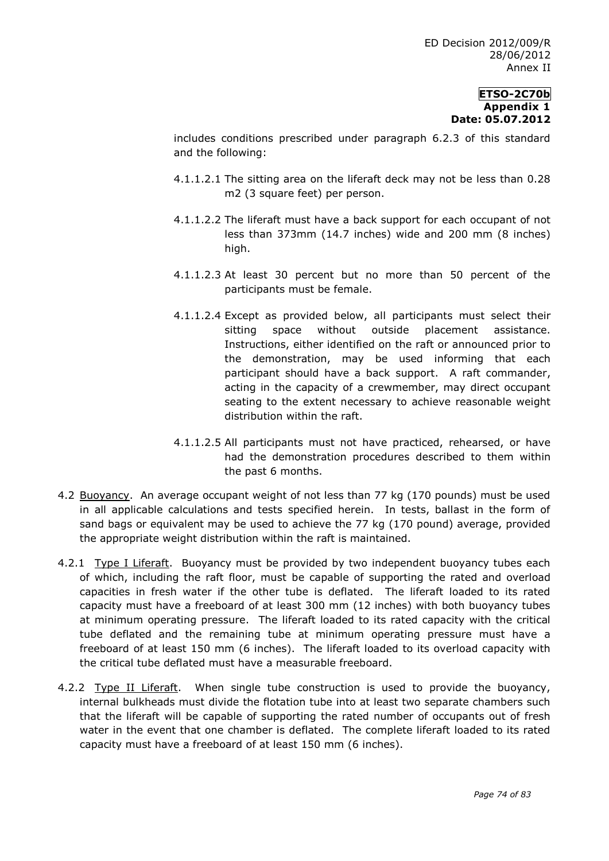includes conditions prescribed under paragraph 6.2.3 of this standard and the following:

- 4.1.1.2.1 The sitting area on the liferaft deck may not be less than 0.28 m2 (3 square feet) per person.
- 4.1.1.2.2 The liferaft must have a back support for each occupant of not less than 373mm (14.7 inches) wide and 200 mm (8 inches) high.
- 4.1.1.2.3 At least 30 percent but no more than 50 percent of the participants must be female.
- 4.1.1.2.4 Except as provided below, all participants must select their sitting space without outside placement assistance. Instructions, either identified on the raft or announced prior to the demonstration, may be used informing that each participant should have a back support. A raft commander, acting in the capacity of a crewmember, may direct occupant seating to the extent necessary to achieve reasonable weight distribution within the raft.
- 4.1.1.2.5 All participants must not have practiced, rehearsed, or have had the demonstration procedures described to them within the past 6 months.
- 4.2 Buoyancy. An average occupant weight of not less than 77 kg (170 pounds) must be used in all applicable calculations and tests specified herein. In tests, ballast in the form of sand bags or equivalent may be used to achieve the 77 kg (170 pound) average, provided the appropriate weight distribution within the raft is maintained.
- 4.2.1 Type I Liferaft. Buoyancy must be provided by two independent buoyancy tubes each of which, including the raft floor, must be capable of supporting the rated and overload capacities in fresh water if the other tube is deflated. The liferaft loaded to its rated capacity must have a freeboard of at least 300 mm (12 inches) with both buoyancy tubes at minimum operating pressure. The liferaft loaded to its rated capacity with the critical tube deflated and the remaining tube at minimum operating pressure must have a freeboard of at least 150 mm (6 inches). The liferaft loaded to its overload capacity with the critical tube deflated must have a measurable freeboard.
- 4.2.2 Type II Liferaft. When single tube construction is used to provide the buoyancy, internal bulkheads must divide the flotation tube into at least two separate chambers such that the liferaft will be capable of supporting the rated number of occupants out of fresh water in the event that one chamber is deflated. The complete liferaft loaded to its rated capacity must have a freeboard of at least 150 mm (6 inches).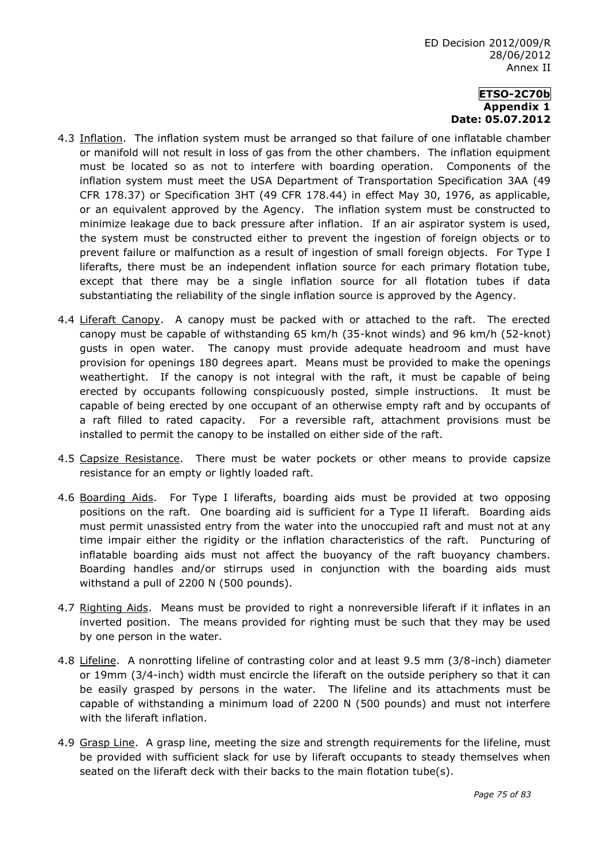- 4.3 Inflation. The inflation system must be arranged so that failure of one inflatable chamber or manifold will not result in loss of gas from the other chambers. The inflation equipment must be located so as not to interfere with boarding operation. Components of the inflation system must meet the USA Department of Transportation Specification 3AA (49 CFR 178.37) or Specification 3HT (49 CFR 178.44) in effect May 30, 1976, as applicable, or an equivalent approved by the Agency. The inflation system must be constructed to minimize leakage due to back pressure after inflation. If an air aspirator system is used, the system must be constructed either to prevent the ingestion of foreign objects or to prevent failure or malfunction as a result of ingestion of small foreign objects. For Type I liferafts, there must be an independent inflation source for each primary flotation tube, except that there may be a single inflation source for all flotation tubes if data substantiating the reliability of the single inflation source is approved by the Agency.
- 4.4 Liferaft Canopy. A canopy must be packed with or attached to the raft. The erected canopy must be capable of withstanding 65 km/h (35-knot winds) and 96 km/h (52-knot) gusts in open water. The canopy must provide adequate headroom and must have provision for openings 180 degrees apart. Means must be provided to make the openings weathertight. If the canopy is not integral with the raft, it must be capable of being erected by occupants following conspicuously posted, simple instructions. It must be capable of being erected by one occupant of an otherwise empty raft and by occupants of a raft filled to rated capacity. For a reversible raft, attachment provisions must be installed to permit the canopy to be installed on either side of the raft.
- 4.5 Capsize Resistance. There must be water pockets or other means to provide capsize resistance for an empty or lightly loaded raft.
- 4.6 Boarding Aids. For Type I liferafts, boarding aids must be provided at two opposing positions on the raft. One boarding aid is sufficient for a Type II liferaft. Boarding aids must permit unassisted entry from the water into the unoccupied raft and must not at any time impair either the rigidity or the inflation characteristics of the raft. Puncturing of inflatable boarding aids must not affect the buoyancy of the raft buoyancy chambers. Boarding handles and/or stirrups used in conjunction with the boarding aids must withstand a pull of 2200 N (500 pounds).
- 4.7 Righting Aids. Means must be provided to right a nonreversible liferaft if it inflates in an inverted position. The means provided for righting must be such that they may be used by one person in the water.
- 4.8 Lifeline. A nonrotting lifeline of contrasting color and at least 9.5 mm (3/8-inch) diameter or 19mm (3/4-inch) width must encircle the liferaft on the outside periphery so that it can be easily grasped by persons in the water. The lifeline and its attachments must be capable of withstanding a minimum load of 2200 N (500 pounds) and must not interfere with the liferaft inflation.
- 4.9 Grasp Line. A grasp line, meeting the size and strength requirements for the lifeline, must be provided with sufficient slack for use by liferaft occupants to steady themselves when seated on the liferaft deck with their backs to the main flotation tube(s).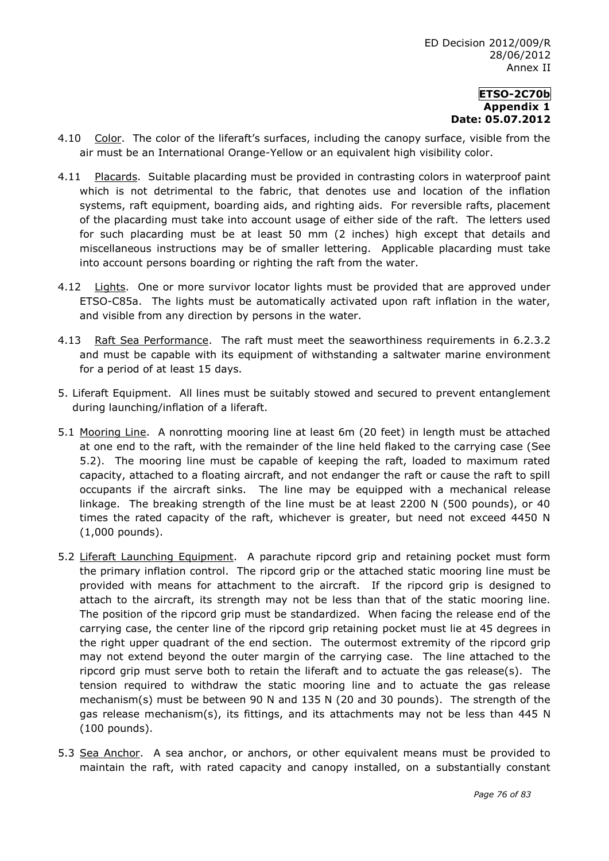- 4.10 Color. The color of the liferaft's surfaces, including the canopy surface, visible from the air must be an International Orange-Yellow or an equivalent high visibility color.
- 4.11 Placards. Suitable placarding must be provided in contrasting colors in waterproof paint which is not detrimental to the fabric, that denotes use and location of the inflation systems, raft equipment, boarding aids, and righting aids. For reversible rafts, placement of the placarding must take into account usage of either side of the raft. The letters used for such placarding must be at least 50 mm (2 inches) high except that details and miscellaneous instructions may be of smaller lettering. Applicable placarding must take into account persons boarding or righting the raft from the water.
- 4.12 Lights. One or more survivor locator lights must be provided that are approved under ETSO-C85a. The lights must be automatically activated upon raft inflation in the water, and visible from any direction by persons in the water.
- 4.13 Raft Sea Performance. The raft must meet the seaworthiness requirements in 6.2.3.2 and must be capable with its equipment of withstanding a saltwater marine environment for a period of at least 15 days.
- 5. Liferaft Equipment. All lines must be suitably stowed and secured to prevent entanglement during launching/inflation of a liferaft.
- 5.1 Mooring Line. A nonrotting mooring line at least 6m (20 feet) in length must be attached at one end to the raft, with the remainder of the line held flaked to the carrying case (See 5.2). The mooring line must be capable of keeping the raft, loaded to maximum rated capacity, attached to a floating aircraft, and not endanger the raft or cause the raft to spill occupants if the aircraft sinks. The line may be equipped with a mechanical release linkage. The breaking strength of the line must be at least 2200 N (500 pounds), or 40 times the rated capacity of the raft, whichever is greater, but need not exceed 4450 N (1,000 pounds).
- 5.2 Liferaft Launching Equipment. A parachute ripcord grip and retaining pocket must form the primary inflation control. The ripcord grip or the attached static mooring line must be provided with means for attachment to the aircraft. If the ripcord grip is designed to attach to the aircraft, its strength may not be less than that of the static mooring line. The position of the ripcord grip must be standardized. When facing the release end of the carrying case, the center line of the ripcord grip retaining pocket must lie at 45 degrees in the right upper quadrant of the end section. The outermost extremity of the ripcord grip may not extend beyond the outer margin of the carrying case. The line attached to the ripcord grip must serve both to retain the liferaft and to actuate the gas release(s). The tension required to withdraw the static mooring line and to actuate the gas release mechanism(s) must be between 90 N and 135 N (20 and 30 pounds). The strength of the gas release mechanism(s), its fittings, and its attachments may not be less than 445 N (100 pounds).
- 5.3 Sea Anchor. A sea anchor, or anchors, or other equivalent means must be provided to maintain the raft, with rated capacity and canopy installed, on a substantially constant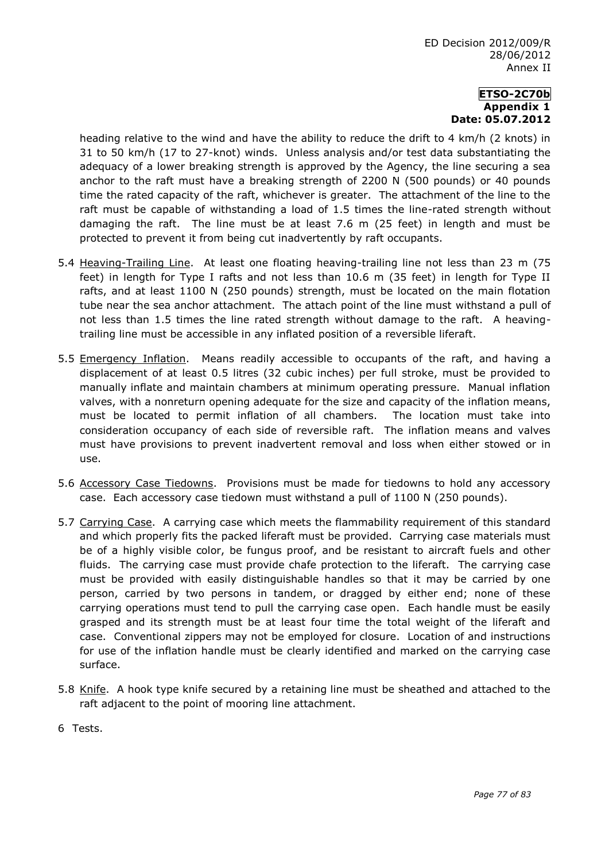heading relative to the wind and have the ability to reduce the drift to 4 km/h (2 knots) in 31 to 50 km/h (17 to 27-knot) winds. Unless analysis and/or test data substantiating the adequacy of a lower breaking strength is approved by the Agency, the line securing a sea anchor to the raft must have a breaking strength of 2200 N (500 pounds) or 40 pounds time the rated capacity of the raft, whichever is greater. The attachment of the line to the raft must be capable of withstanding a load of 1.5 times the line-rated strength without damaging the raft. The line must be at least 7.6 m (25 feet) in length and must be protected to prevent it from being cut inadvertently by raft occupants.

- 5.4 Heaving-Trailing Line. At least one floating heaving-trailing line not less than 23 m (75 feet) in length for Type I rafts and not less than 10.6 m (35 feet) in length for Type II rafts, and at least 1100 N (250 pounds) strength, must be located on the main flotation tube near the sea anchor attachment. The attach point of the line must withstand a pull of not less than 1.5 times the line rated strength without damage to the raft. A heavingtrailing line must be accessible in any inflated position of a reversible liferaft.
- 5.5 Emergency Inflation. Means readily accessible to occupants of the raft, and having a displacement of at least 0.5 litres (32 cubic inches) per full stroke, must be provided to manually inflate and maintain chambers at minimum operating pressure. Manual inflation valves, with a nonreturn opening adequate for the size and capacity of the inflation means, must be located to permit inflation of all chambers. The location must take into consideration occupancy of each side of reversible raft. The inflation means and valves must have provisions to prevent inadvertent removal and loss when either stowed or in use.
- 5.6 Accessory Case Tiedowns. Provisions must be made for tiedowns to hold any accessory case. Each accessory case tiedown must withstand a pull of 1100 N (250 pounds).
- 5.7 Carrying Case. A carrying case which meets the flammability requirement of this standard and which properly fits the packed liferaft must be provided. Carrying case materials must be of a highly visible color, be fungus proof, and be resistant to aircraft fuels and other fluids. The carrying case must provide chafe protection to the liferaft. The carrying case must be provided with easily distinguishable handles so that it may be carried by one person, carried by two persons in tandem, or dragged by either end; none of these carrying operations must tend to pull the carrying case open. Each handle must be easily grasped and its strength must be at least four time the total weight of the liferaft and case. Conventional zippers may not be employed for closure. Location of and instructions for use of the inflation handle must be clearly identified and marked on the carrying case surface.
- 5.8 Knife. A hook type knife secured by a retaining line must be sheathed and attached to the raft adjacent to the point of mooring line attachment.
- 6 Tests.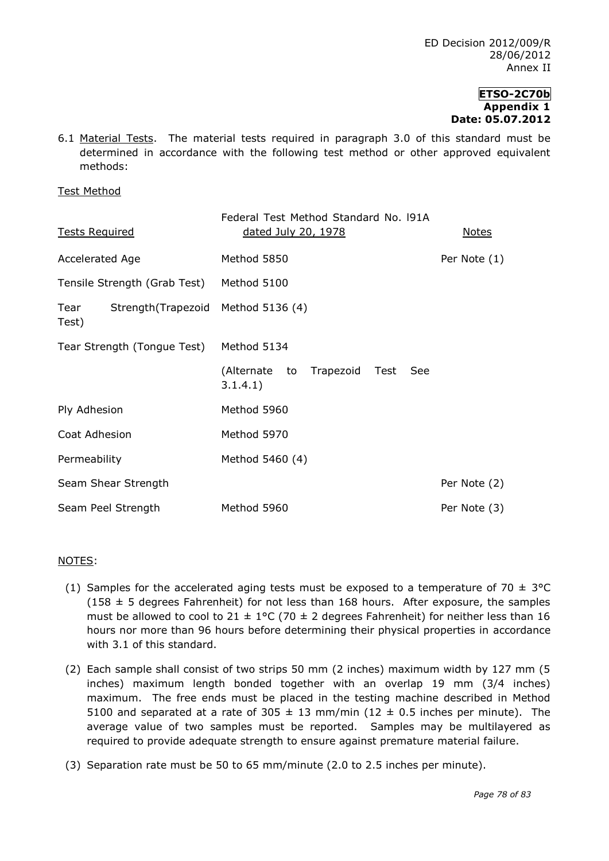6.1 Material Tests. The material tests required in paragraph 3.0 of this standard must be determined in accordance with the following test method or other approved equivalent methods:

Test Method

| <b>Tests Required</b>                                | Federal Test Method Standard No. 191A<br>dated July 20, 1978 | <b>Notes</b> |  |
|------------------------------------------------------|--------------------------------------------------------------|--------------|--|
| Accelerated Age                                      | Method 5850                                                  | Per Note (1) |  |
| Tensile Strength (Grab Test)                         | Method 5100                                                  |              |  |
| Strength (Trapezoid Method 5136 (4)<br>Tear<br>Test) |                                                              |              |  |
| Tear Strength (Tongue Test)                          | Method 5134                                                  |              |  |
|                                                      | (Alternate to<br>Trapezoid<br>Test<br>See<br>3.1.4.1)        |              |  |
| Ply Adhesion                                         | Method 5960                                                  |              |  |
| Coat Adhesion                                        | Method 5970                                                  |              |  |
| Permeability                                         | Method 5460 (4)                                              |              |  |
| Seam Shear Strength                                  |                                                              | Per Note (2) |  |
| Seam Peel Strength                                   | Method 5960                                                  | Per Note (3) |  |

## NOTES:

- (1) Samples for the accelerated aging tests must be exposed to a temperature of 70  $\pm$  3°C  $(158 \pm 5$  degrees Fahrenheit) for not less than 168 hours. After exposure, the samples must be allowed to cool to 21  $\pm$  1°C (70  $\pm$  2 degrees Fahrenheit) for neither less than 16 hours nor more than 96 hours before determining their physical properties in accordance with 3.1 of this standard.
- (2) Each sample shall consist of two strips 50 mm (2 inches) maximum width by 127 mm (5 inches) maximum length bonded together with an overlap 19 mm (3/4 inches) maximum. The free ends must be placed in the testing machine described in Method 5100 and separated at a rate of 305  $\pm$  13 mm/min (12  $\pm$  0.5 inches per minute). The average value of two samples must be reported. Samples may be multilayered as required to provide adequate strength to ensure against premature material failure.
- (3) Separation rate must be 50 to 65 mm/minute (2.0 to 2.5 inches per minute).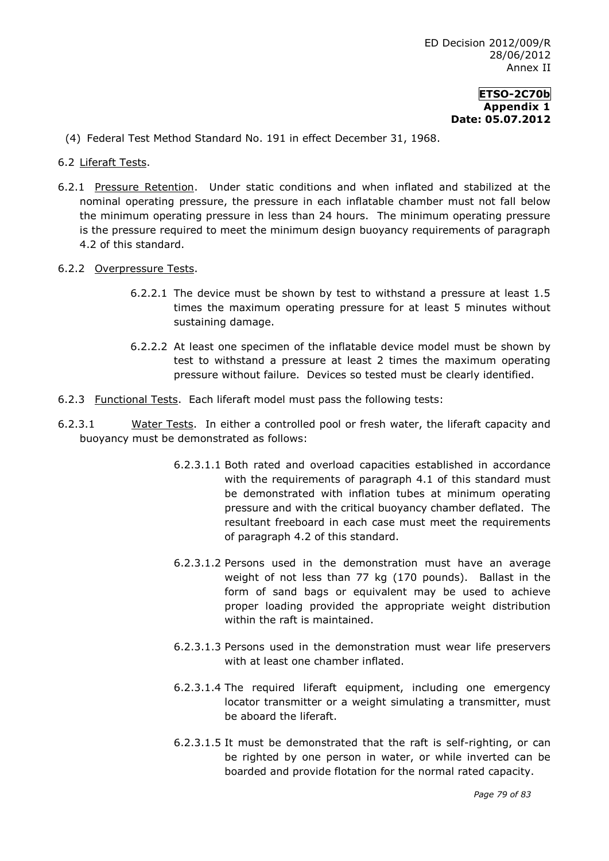- (4) Federal Test Method Standard No. 191 in effect December 31, 1968.
- 6.2 Liferaft Tests.
- 6.2.1 Pressure Retention. Under static conditions and when inflated and stabilized at the nominal operating pressure, the pressure in each inflatable chamber must not fall below the minimum operating pressure in less than 24 hours. The minimum operating pressure is the pressure required to meet the minimum design buoyancy requirements of paragraph 4.2 of this standard.
- 6.2.2 Overpressure Tests.
	- 6.2.2.1 The device must be shown by test to withstand a pressure at least 1.5 times the maximum operating pressure for at least 5 minutes without sustaining damage.
	- 6.2.2.2 At least one specimen of the inflatable device model must be shown by test to withstand a pressure at least 2 times the maximum operating pressure without failure. Devices so tested must be clearly identified.
- 6.2.3 Functional Tests. Each liferaft model must pass the following tests:
- 6.2.3.1 Water Tests. In either a controlled pool or fresh water, the liferaft capacity and buoyancy must be demonstrated as follows:
	- 6.2.3.1.1 Both rated and overload capacities established in accordance with the requirements of paragraph 4.1 of this standard must be demonstrated with inflation tubes at minimum operating pressure and with the critical buoyancy chamber deflated. The resultant freeboard in each case must meet the requirements of paragraph 4.2 of this standard.
	- 6.2.3.1.2 Persons used in the demonstration must have an average weight of not less than 77 kg (170 pounds). Ballast in the form of sand bags or equivalent may be used to achieve proper loading provided the appropriate weight distribution within the raft is maintained.
	- 6.2.3.1.3 Persons used in the demonstration must wear life preservers with at least one chamber inflated.
	- 6.2.3.1.4 The required liferaft equipment, including one emergency locator transmitter or a weight simulating a transmitter, must be aboard the liferaft.
	- 6.2.3.1.5 It must be demonstrated that the raft is self-righting, or can be righted by one person in water, or while inverted can be boarded and provide flotation for the normal rated capacity.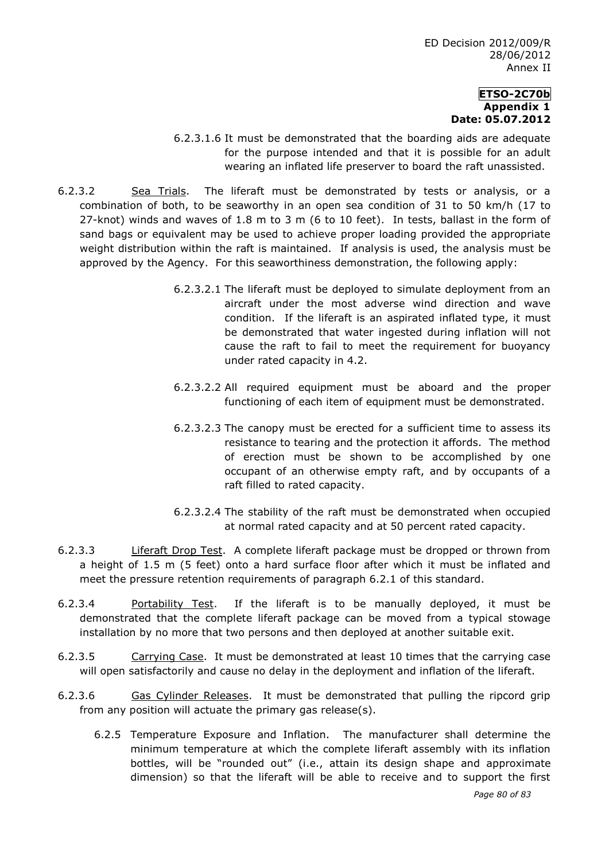- 6.2.3.1.6 It must be demonstrated that the boarding aids are adequate for the purpose intended and that it is possible for an adult wearing an inflated life preserver to board the raft unassisted.
- 6.2.3.2 Sea Trials. The liferaft must be demonstrated by tests or analysis, or a combination of both, to be seaworthy in an open sea condition of 31 to 50 km/h (17 to 27-knot) winds and waves of 1.8 m to 3 m (6 to 10 feet). In tests, ballast in the form of sand bags or equivalent may be used to achieve proper loading provided the appropriate weight distribution within the raft is maintained. If analysis is used, the analysis must be approved by the Agency. For this seaworthiness demonstration, the following apply:
	- 6.2.3.2.1 The liferaft must be deployed to simulate deployment from an aircraft under the most adverse wind direction and wave condition. If the liferaft is an aspirated inflated type, it must be demonstrated that water ingested during inflation will not cause the raft to fail to meet the requirement for buoyancy under rated capacity in 4.2.
	- 6.2.3.2.2 All required equipment must be aboard and the proper functioning of each item of equipment must be demonstrated.
	- 6.2.3.2.3 The canopy must be erected for a sufficient time to assess its resistance to tearing and the protection it affords. The method of erection must be shown to be accomplished by one occupant of an otherwise empty raft, and by occupants of a raft filled to rated capacity.
	- 6.2.3.2.4 The stability of the raft must be demonstrated when occupied at normal rated capacity and at 50 percent rated capacity.
- 6.2.3.3 Liferaft Drop Test. A complete liferaft package must be dropped or thrown from a height of 1.5 m (5 feet) onto a hard surface floor after which it must be inflated and meet the pressure retention requirements of paragraph 6.2.1 of this standard.
- 6.2.3.4 Portability Test. If the liferaft is to be manually deployed, it must be demonstrated that the complete liferaft package can be moved from a typical stowage installation by no more that two persons and then deployed at another suitable exit.
- 6.2.3.5 Carrying Case. It must be demonstrated at least 10 times that the carrying case will open satisfactorily and cause no delay in the deployment and inflation of the liferaft.
- 6.2.3.6 Gas Cylinder Releases. It must be demonstrated that pulling the ripcord grip from any position will actuate the primary gas release(s).
	- 6.2.5 Temperature Exposure and Inflation. The manufacturer shall determine the minimum temperature at which the complete liferaft assembly with its inflation bottles, will be "rounded out" (i.e., attain its design shape and approximate dimension) so that the liferaft will be able to receive and to support the first